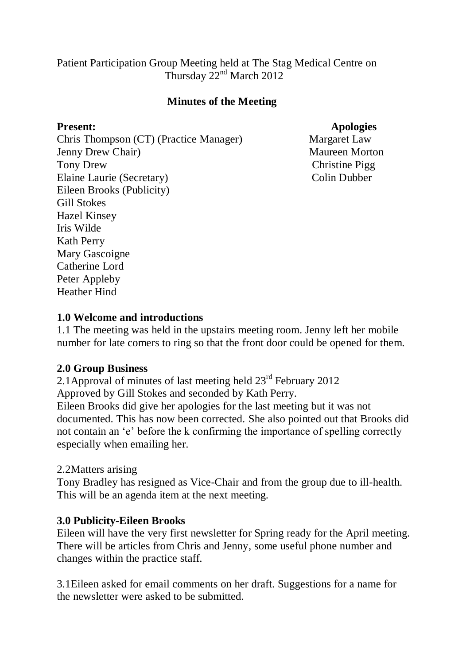Patient Participation Group Meeting held at The Stag Medical Centre on Thursday  $22<sup>nd</sup>$  March 2012

#### **Minutes of the Meeting**

Chris Thompson (CT) (Practice Manager) Margaret Law Jenny Drew Chair) Maureen Morton Tony Drew Christine Pigg Elaine Laurie (Secretary) Colin Dubber Eileen Brooks (Publicity) Gill Stokes Hazel Kinsey Iris Wilde Kath Perry Mary Gascoigne Catherine Lord Peter Appleby Heather Hind

#### **Present: Apologies**

#### **1.0 Welcome and introductions**

1.1 The meeting was held in the upstairs meeting room. Jenny left her mobile number for late comers to ring so that the front door could be opened for them.

#### **2.0 Group Business**

2.1Approval of minutes of last meeting held 23rd February 2012 Approved by Gill Stokes and seconded by Kath Perry.

Eileen Brooks did give her apologies for the last meeting but it was not documented. This has now been corrected. She also pointed out that Brooks did not contain an 'e' before the k confirming the importance of spelling correctly especially when emailing her.

#### 2.2Matters arising

Tony Bradley has resigned as Vice-Chair and from the group due to ill-health. This will be an agenda item at the next meeting.

#### **3.0 Publicity-Eileen Brooks**

Eileen will have the very first newsletter for Spring ready for the April meeting. There will be articles from Chris and Jenny, some useful phone number and changes within the practice staff.

3.1Eileen asked for email comments on her draft. Suggestions for a name for the newsletter were asked to be submitted.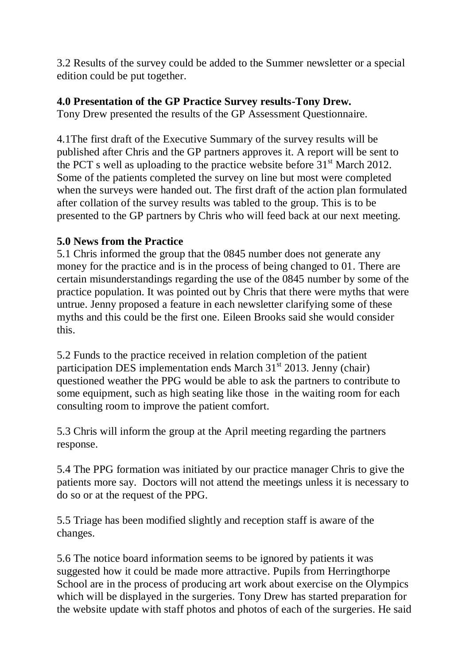3.2 Results of the survey could be added to the Summer newsletter or a special edition could be put together.

# **4.0 Presentation of the GP Practice Survey results-Tony Drew.**

Tony Drew presented the results of the GP Assessment Questionnaire.

4.1The first draft of the Executive Summary of the survey results will be published after Chris and the GP partners approves it. A report will be sent to the PCT s well as uploading to the practice website before  $31<sup>st</sup>$  March 2012. Some of the patients completed the survey on line but most were completed when the surveys were handed out. The first draft of the action plan formulated after collation of the survey results was tabled to the group. This is to be presented to the GP partners by Chris who will feed back at our next meeting.

### **5.0 News from the Practice**

5.1 Chris informed the group that the 0845 number does not generate any money for the practice and is in the process of being changed to 01. There are certain misunderstandings regarding the use of the 0845 number by some of the practice population. It was pointed out by Chris that there were myths that were untrue. Jenny proposed a feature in each newsletter clarifying some of these myths and this could be the first one. Eileen Brooks said she would consider this.

5.2 Funds to the practice received in relation completion of the patient participation DES implementation ends March  $31<sup>st</sup>$  2013. Jenny (chair) questioned weather the PPG would be able to ask the partners to contribute to some equipment, such as high seating like those in the waiting room for each consulting room to improve the patient comfort.

5.3 Chris will inform the group at the April meeting regarding the partners response.

5.4 The PPG formation was initiated by our practice manager Chris to give the patients more say. Doctors will not attend the meetings unless it is necessary to do so or at the request of the PPG.

5.5 Triage has been modified slightly and reception staff is aware of the changes.

5.6 The notice board information seems to be ignored by patients it was suggested how it could be made more attractive. Pupils from Herringthorpe School are in the process of producing art work about exercise on the Olympics which will be displayed in the surgeries. Tony Drew has started preparation for the website update with staff photos and photos of each of the surgeries. He said